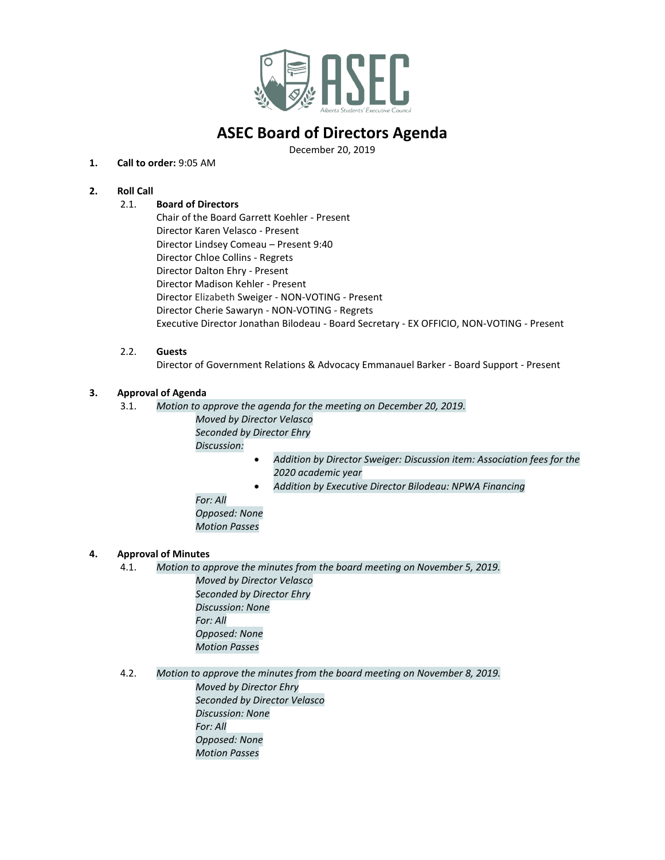

# **ASEC Board of Directors Agenda**

December 20, 2019

#### **1. Call to order:** 9:05 AM

### **2. Roll Call**

### 2.1. **Board of Directors**

Chair of the Board Garrett Koehler - Present Director Karen Velasco - Present Director Lindsey Comeau – Present 9:40 Director Chloe Collins - Regrets Director Dalton Ehry - Present Director Madison Kehler - Present Director Elizabeth Sweiger - NON-VOTING - Present Director Cherie Sawaryn - NON-VOTING - Regrets Executive Director Jonathan Bilodeau - Board Secretary - EX OFFICIO, NON-VOTING - Present

#### 2.2. **Guests**

Director of Government Relations & Advocacy Emmanauel Barker - Board Support - Present

#### **3. Approval of Agenda**

- 3.1. *Motion to approve the agenda for the meeting on December 20, 2019. Moved by Director Velasco Seconded by Director Ehry Discussion:* 
	- *Addition by Director Sweiger: Discussion item: Association fees for the 2020 academic year*
	- *Addition by Executive Director Bilodeau: NPWA Financing*

*For: All*

*Opposed: None Motion Passes*

#### **4. Approval of Minutes**

4.1. *Motion to approve the minutes from the board meeting on November 5, 2019. Moved by Director Velasco*

*Seconded by Director Ehry Discussion: None For: All Opposed: None Motion Passes*

4.2. *Motion to approve the minutes from the board meeting on November 8, 2019. Moved by Director Ehry Seconded by Director Velasco Discussion: None For: All Opposed: None Motion Passes*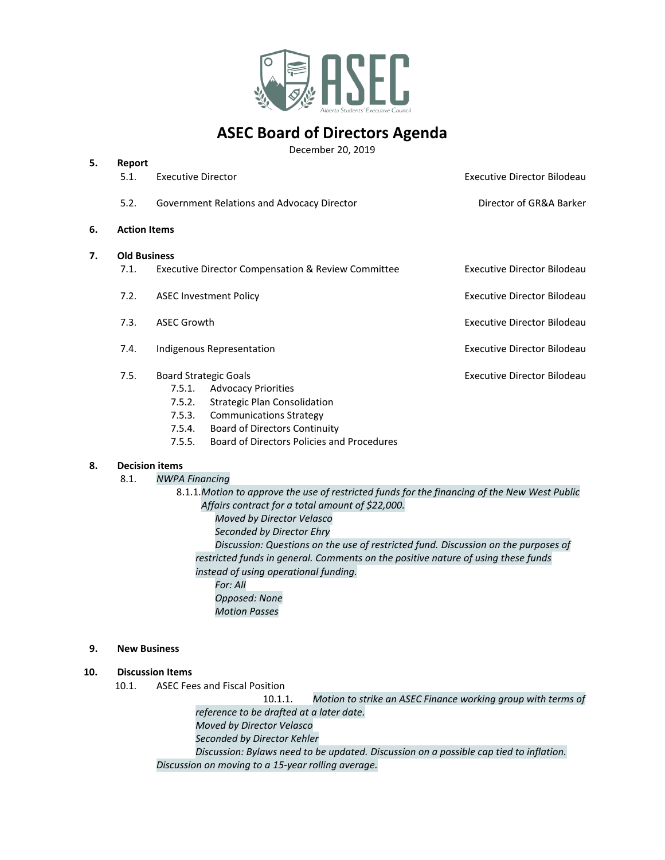

# **ASEC Board of Directors Agenda**

December 20, 2019

| 5. | Report<br>5.1.      | <b>Executive Director</b>                                                                                                                                         | <b>Executive Director Bilodeau</b> |
|----|---------------------|-------------------------------------------------------------------------------------------------------------------------------------------------------------------|------------------------------------|
|    | 5.2.                | Government Relations and Advocacy Director                                                                                                                        | Director of GR&A Barker            |
| 6. | <b>Action Items</b> |                                                                                                                                                                   |                                    |
| 7. | <b>Old Business</b> |                                                                                                                                                                   |                                    |
|    | 7.1.                | <b>Executive Director Compensation &amp; Review Committee</b>                                                                                                     | Executive Director Bilodeau        |
|    | 7.2.                | <b>ASEC Investment Policy</b>                                                                                                                                     | <b>Executive Director Bilodeau</b> |
|    | 7.3.                | <b>ASEC Growth</b>                                                                                                                                                | Executive Director Bilodeau        |
|    | 7.4.                | Indigenous Representation                                                                                                                                         | <b>Executive Director Bilodeau</b> |
|    | 7.5.                | <b>Board Strategic Goals</b><br><b>Advocacy Priorities</b><br>7.5.1.<br><b>Strategic Plan Consolidation</b><br>7.5.2.<br>7.5.3.<br><b>Communications Strategy</b> | Executive Director Bilodeau        |

- 7.5.4. Board of Directors Continuity
- 7.5.5. Board of Directors Policies and Procedures

#### **8. Decision items**

**5. Report**

8.1. *NWPA Financing*

8.1.1.*Motion to approve the use of restricted funds for the financing of the New West Public Affairs contract for a total amount of \$22,000. Moved by Director Velasco Seconded by Director Ehry Discussion: Questions on the use of restricted fund. Discussion on the purposes of restricted funds in general. Comments on the positive nature of using these funds* 

*instead of using operational funding. For: All Opposed: None Motion Passes*

## **9. New Business**

#### **10. Discussion Items**

10.1. ASEC Fees and Fiscal Position

10.1.1. *Motion to strike an ASEC Finance working group with terms of reference to be drafted at a later date. Moved by Director Velasco Seconded by Director Kehler Discussion: Bylaws need to be updated. Discussion on a possible cap tied to inflation. Discussion on moving to a 15-year rolling average.*